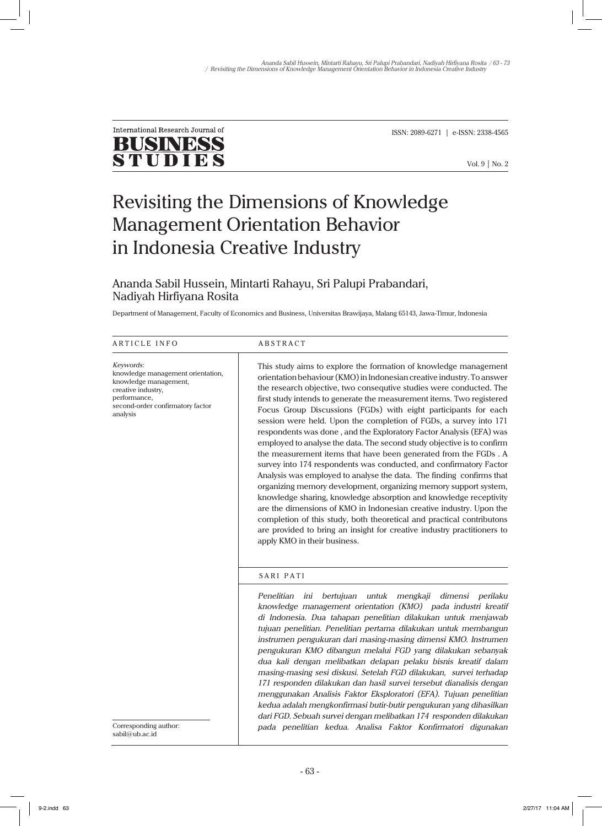

ISSN: 2089-6271 | e-ISSN: 2338-4565

# Revisiting the Dimensions of Knowledge Management Orientation Behavior in Indonesia Creative Industry

# Ananda Sabil Hussein, Mintarti Rahayu, Sri Palupi Prabandari, Nadiyah Hirfiyana Rosita

Department of Management, Faculty of Economics and Business, Universitas Brawijaya, Malang 65143, Jawa-Timur, Indonesia

| ARTICLE INFO                                                                                                                                                  | <b>ABSTRACT</b>                                                                                                                                                                                                                                                                                                                                                                                                                                                                                                                                                                                                                                                                                                                                                                                                                                                                                                                                                                                                                                                                                                                                                                                           |  |  |
|---------------------------------------------------------------------------------------------------------------------------------------------------------------|-----------------------------------------------------------------------------------------------------------------------------------------------------------------------------------------------------------------------------------------------------------------------------------------------------------------------------------------------------------------------------------------------------------------------------------------------------------------------------------------------------------------------------------------------------------------------------------------------------------------------------------------------------------------------------------------------------------------------------------------------------------------------------------------------------------------------------------------------------------------------------------------------------------------------------------------------------------------------------------------------------------------------------------------------------------------------------------------------------------------------------------------------------------------------------------------------------------|--|--|
| Keywords:<br>knowledge management orientation,<br>knowledge management,<br>creative industry,<br>performance,<br>second-order confirmatory factor<br>analysis | This study aims to explore the formation of knowledge management<br>orientation behaviour (KMO) in Indonesian creative industry. To answer<br>the research objective, two consequtive studies were conducted. The<br>first study intends to generate the measurement items. Two registered<br>Focus Group Discussions (FGDs) with eight participants for each<br>session were held. Upon the completion of FGDs, a survey into 171<br>respondents was done, and the Exploratory Factor Analysis (EFA) was<br>employed to analyse the data. The second study objective is to confirm<br>the measurement items that have been generated from the FGDs . A<br>survey into 174 respondents was conducted, and confirmatory Factor<br>Analysis was employed to analyse the data. The finding confirms that<br>organizing memory development, organizing memory support system,<br>knowledge sharing, knowledge absorption and knowledge receptivity<br>are the dimensions of KMO in Indonesian creative industry. Upon the<br>completion of this study, both theoretical and practical contributons<br>are provided to bring an insight for creative industry practitioners to<br>apply KMO in their business. |  |  |
|                                                                                                                                                               | SARI PATI<br>Penelitian<br>bertujuan<br>ini<br>untuk<br>mengkaji<br>dimensi perilaku<br>knowledge management orientation (KMO) pada industri kreatif<br>di Indonesia. Dua tahapan penelitian dilakukan untuk menjawab<br>tujuan penelitian. Penelitian pertama dilakukan untuk membangun<br>instrumen pengukuran dari masing-masing dimensi KMO. Instrumen<br>pengukuran KMO dibangun melalui FGD yang dilakukan sebanyak<br>dua kali dengan melibatkan delapan pelaku bisnis kreatif dalam<br>masing-masing sesi diskusi. Setelah FGD dilakukan, survei terhadap                                                                                                                                                                                                                                                                                                                                                                                                                                                                                                                                                                                                                                         |  |  |
| Corresponding author:<br>sabil@ub.ac.id                                                                                                                       | 171 responden dilakukan dan hasil survei tersebut dianalisis dengan<br>menggunakan Analisis Faktor Eksploratori (EFA). Tujuan penelitian<br>kedua adalah mengkonfirmasi butir-butir pengukuran yang dihasilkan<br>dari FGD. Sebuah survei dengan melibatkan 174 responden dilakukan<br>pada penelitian kedua. Analisa Faktor Konfirmatori digunakan                                                                                                                                                                                                                                                                                                                                                                                                                                                                                                                                                                                                                                                                                                                                                                                                                                                       |  |  |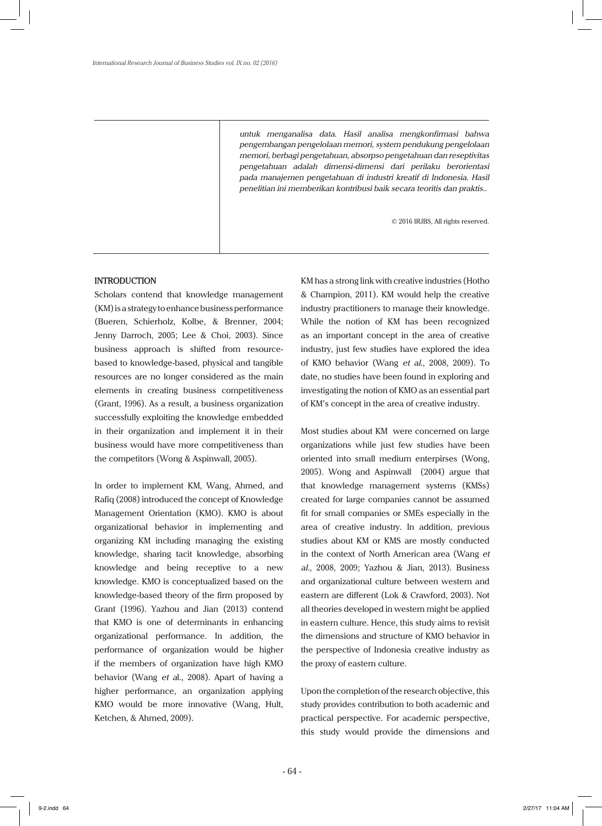*untuk menganalisa data. Hasil analisa mengkonfirmasi bahwa pengembangan pengelolaan memori, system pendukung pengelolaan memori, berbagi pengetahuan, absorpso pengetahuan dan reseptivitas pengetahuan adalah dimensi-dimensi dari perilaku berorientasi pada manajemen pengetahuan di industri kreatif di Indonesia. Hasil penelitian ini memberikan kontribusi baik secara teoritis dan praktis..*

© 2016 IRJBS, All rights reserved.

#### **INTRODUCTION**

Scholars contend that knowledge management (KM) is a strategy to enhance business performance (Bueren, Schierholz, Kolbe, & Brenner, 2004; Jenny Darroch, 2005; Lee & Choi, 2003). Since business approach is shifted from resourcebased to knowledge-based, physical and tangible resources are no longer considered as the main elements in creating business competitiveness (Grant, 1996). As a result, a business organization successfully exploiting the knowledge embedded in their organization and implement it in their business would have more competitiveness than the competitors (Wong & Aspinwall, 2005).

In order to implement KM, Wang, Ahmed, and Rafiq (2008) introduced the concept of Knowledge Management Orientation (KMO). KMO is about organizational behavior in implementing and organizing KM including managing the existing knowledge, sharing tacit knowledge, absorbing knowledge and being receptive to a new knowledge. KMO is conceptualized based on the knowledge-based theory of the firm proposed by Grant (1996). Yazhou and Jian (2013) contend that KMO is one of determinants in enhancing organizational performance. In addition, the performance of organization would be higher if the members of organization have high KMO behavior (Wang *et a*l., 2008). Apart of having a higher performance, an organization applying KMO would be more innovative (Wang, Hult, Ketchen, & Ahmed, 2009).

KM has a strong link with creative industries (Hotho & Champion, 2011). KM would help the creative industry practitioners to manage their knowledge. While the notion of KM has been recognized as an important concept in the area of creative industry, just few studies have explored the idea of KMO behavior (Wang *et al*., 2008, 2009). To date, no studies have been found in exploring and investigating the notion of KMO as an essential part of KM's concept in the area of creative industry.

Most studies about KM were concerned on large organizations while just few studies have been oriented into small medium enterpirses (Wong, 2005). Wong and Aspinwall (2004) argue that that knowledge management systems (KMSs) created for large companies cannot be assumed fit for small companies or SMEs especially in the area of creative industry. In addition, previous studies about KM or KMS are mostly conducted in the context of North American area (Wang *et al.*, 2008, 2009; Yazhou & Jian, 2013). Business and organizational culture between western and eastern are different (Lok & Crawford, 2003). Not all theories developed in western might be applied in eastern culture. Hence, this study aims to revisit the dimensions and structure of KMO behavior in the perspective of Indonesia creative industry as the proxy of eastern culture.

Upon the completion of the research objective, this study provides contribution to both academic and practical perspective. For academic perspective, this study would provide the dimensions and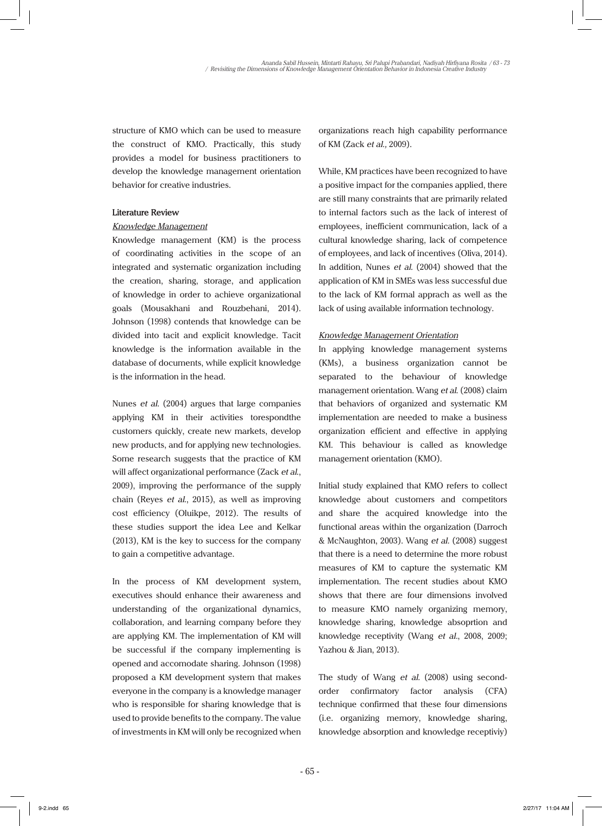structure of KMO which can be used to measure the construct of KMO. Practically, this study provides a model for business practitioners to develop the knowledge management orientation behavior for creative industries.

## **Literature Review**

### *Knowledge Management*

Knowledge management (KM) is the process of coordinating activities in the scope of an integrated and systematic organization including the creation, sharing, storage, and application of knowledge in order to achieve organizational goals (Mousakhani and Rouzbehani, 2014). Johnson (1998) contends that knowledge can be divided into tacit and explicit knowledge. Tacit knowledge is the information available in the database of documents, while explicit knowledge is the information in the head.

Nunes *et al*. (2004) argues that large companies applying KM in their activities torespondthe customers quickly, create new markets, develop new products, and for applying new technologies. Some research suggests that the practice of KM will affect organizational performance (Zack *et al*., 2009), improving the performance of the supply chain (Reyes *et al*., 2015), as well as improving cost efficiency (Oluikpe, 2012). The results of these studies support the idea Lee and Kelkar (2013), KM is the key to success for the company to gain a competitive advantage.

In the process of KM development system, executives should enhance their awareness and understanding of the organizational dynamics, collaboration, and learning company before they are applying KM. The implementation of KM will be successful if the company implementing is opened and accomodate sharing. Johnson (1998) proposed a KM development system that makes everyone in the company is a knowledge manager who is responsible for sharing knowledge that is used to provide benefits to the company. The value of investments in KM will only be recognized when

organizations reach high capability performance of KM (Zack *et al.,* 2009).

While, KM practices have been recognized to have a positive impact for the companies applied, there are still many constraints that are primarily related to internal factors such as the lack of interest of employees, inefficient communication, lack of a cultural knowledge sharing, lack of competence of employees, and lack of incentives (Oliva, 2014). In addition, Nunes *et al.* (2004) showed that the application of KM in SMEs was less successful due to the lack of KM formal apprach as well as the lack of using available information technology.

# *Knowledge Management Orientation*

In applying knowledge management systems (KMs), a business organization cannot be separated to the behaviour of knowledge management orientation. Wang *et al*. (2008) claim that behaviors of organized and systematic KM implementation are needed to make a business organization efficient and effective in applying KM. This behaviour is called as knowledge management orientation (KMO).

Initial study explained that KMO refers to collect knowledge about customers and competitors and share the acquired knowledge into the functional areas within the organization (Darroch & McNaughton, 2003). Wang *et al.* (2008) suggest that there is a need to determine the more robust measures of KM to capture the systematic KM implementation. The recent studies about KMO shows that there are four dimensions involved to measure KMO namely organizing memory, knowledge sharing, knowledge absoprtion and knowledge receptivity (Wang *et al.*, 2008, 2009; Yazhou & Jian, 2013).

The study of Wang *et al.* (2008) using secondorder confirmatory factor analysis (CFA) technique confirmed that these four dimensions (i.e. organizing memory, knowledge sharing, knowledge absorption and knowledge receptiviy)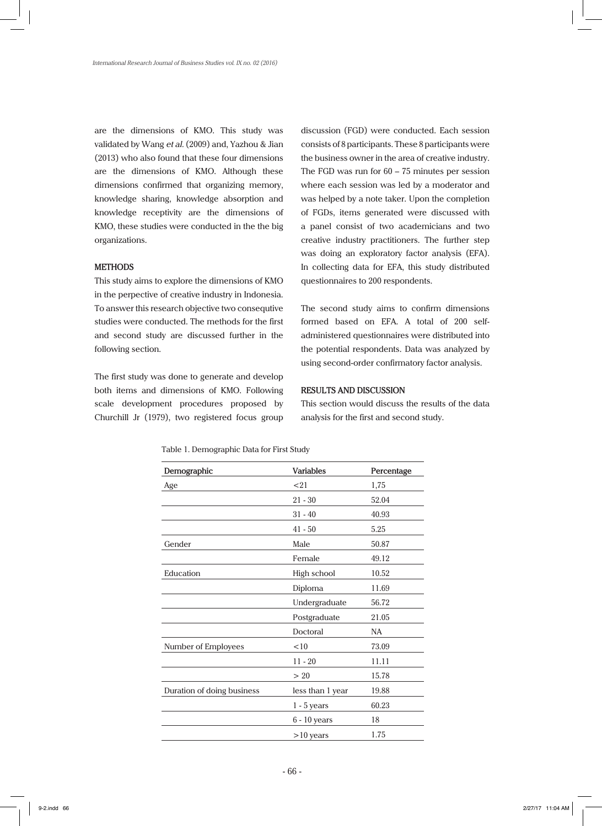are the dimensions of KMO. This study was validated by Wang *et al.* (2009) and, Yazhou & Jian (2013) who also found that these four dimensions are the dimensions of KMO. Although these dimensions confirmed that organizing memory, knowledge sharing, knowledge absorption and knowledge receptivity are the dimensions of KMO, these studies were conducted in the the big organizations.

#### **METHODS**

This study aims to explore the dimensions of KMO in the perpective of creative industry in Indonesia. To answer this research objective two consequtive studies were conducted. The methods for the first and second study are discussed further in the following section.

The first study was done to generate and develop both items and dimensions of KMO. Following scale development procedures proposed by Churchill Jr (1979), two registered focus group

discussion (FGD) were conducted. Each session consists of 8 participants. These 8 participants were the business owner in the area of creative industry. The FGD was run for 60 – 75 minutes per session where each session was led by a moderator and was helped by a note taker. Upon the completion of FGDs, items generated were discussed with a panel consist of two academicians and two creative industry practitioners. The further step was doing an exploratory factor analysis (EFA). In collecting data for EFA, this study distributed questionnaires to 200 respondents.

The second study aims to confirm dimensions formed based on EFA. A total of 200 selfadministered questionnaires were distributed into the potential respondents. Data was analyzed by using second-order confirmatory factor analysis.

#### **RESULTS AND DISCUSSION**

This section would discuss the results of the data analysis for the first and second study.

| Demographic                | <b>Variables</b> | Percentage |
|----------------------------|------------------|------------|
| Age                        | < 21             | 1,75       |
|                            | $21 - 30$        | 52.04      |
|                            | $31 - 40$        | 40.93      |
|                            | $41 - 50$        | 5.25       |
| Gender                     | Male             | 50.87      |
|                            | Female           | 49.12      |
| Education                  | High school      | 10.52      |
|                            | Diploma          | 11.69      |
|                            | Undergraduate    | 56.72      |
|                            | Postgraduate     | 21.05      |
|                            | Doctoral         | <b>NA</b>  |
| Number of Employees        | <10              | 73.09      |
|                            | $11 - 20$        | 11.11      |
|                            | >20              | 15.78      |
| Duration of doing business | less than 1 year | 19.88      |
|                            | $1 - 5$ years    | 60.23      |
|                            | 6 - 10 years     | 18         |
|                            | $>10$ years      | 1.75       |

Table 1. Demographic Data for First Study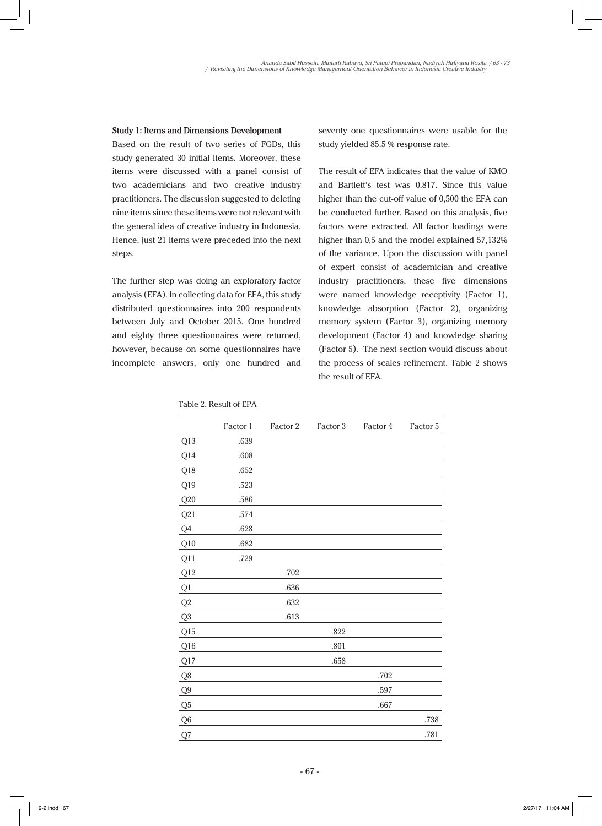#### **Study 1: Items and Dimensions Development**

Based on the result of two series of FGDs, this study generated 30 initial items. Moreover, these items were discussed with a panel consist of two academicians and two creative industry practitioners. The discussion suggested to deleting nine items since these items were not relevant with the general idea of creative industry in Indonesia. Hence, just 21 items were preceded into the next steps.

The further step was doing an exploratory factor analysis (EFA). In collecting data for EFA, this study distributed questionnaires into 200 respondents between July and October 2015. One hundred and eighty three questionnaires were returned, however, because on some questionnaires have incomplete answers, only one hundred and

seventy one questionnaires were usable for the study yielded 85.5 % response rate.

The result of EFA indicates that the value of KMO and Bartlett's test was 0.817. Since this value higher than the cut-off value of 0,500 the EFA can be conducted further. Based on this analysis, five factors were extracted. All factor loadings were higher than 0,5 and the model explained 57,132% of the variance. Upon the discussion with panel of expert consist of academician and creative industry practitioners, these five dimensions were named knowledge receptivity (Factor 1), knowledge absorption (Factor 2), organizing memory system (Factor 3), organizing memory development (Factor 4) and knowledge sharing (Factor 5). The next section would discuss about the process of scales refinement. Table 2 shows the result of EFA.

|                | Factor 1 | Factor 2 | Factor 3 | Factor 4 | Factor 5 |
|----------------|----------|----------|----------|----------|----------|
| Q13            | .639     |          |          |          |          |
| Q14            | .608     |          |          |          |          |
| Q18            | .652     |          |          |          |          |
| Q19            | .523     |          |          |          |          |
| Q20            | .586     |          |          |          |          |
| Q21            | .574     |          |          |          |          |
| Q4             | .628     |          |          |          |          |
| Q10            | .682     |          |          |          |          |
| Q11            | .729     |          |          |          |          |
| Q12            |          | .702     |          |          |          |
| Q1             |          | .636     |          |          |          |
| Q2             |          | .632     |          |          |          |
| Q3             |          | .613     |          |          |          |
| Q15            |          |          | .822     |          |          |
| Q16            |          |          | .801     |          |          |
| Q17            |          |          | .658     |          |          |
| Q8             |          |          |          | .702     |          |
| Q <sub>9</sub> |          |          |          | .597     |          |
| Q <sub>5</sub> |          |          |          | .667     |          |
| Q <sub>6</sub> |          |          |          |          | .738     |
| ${\bf Q7}$     |          |          |          |          | .781     |

Table 2. Result of EPA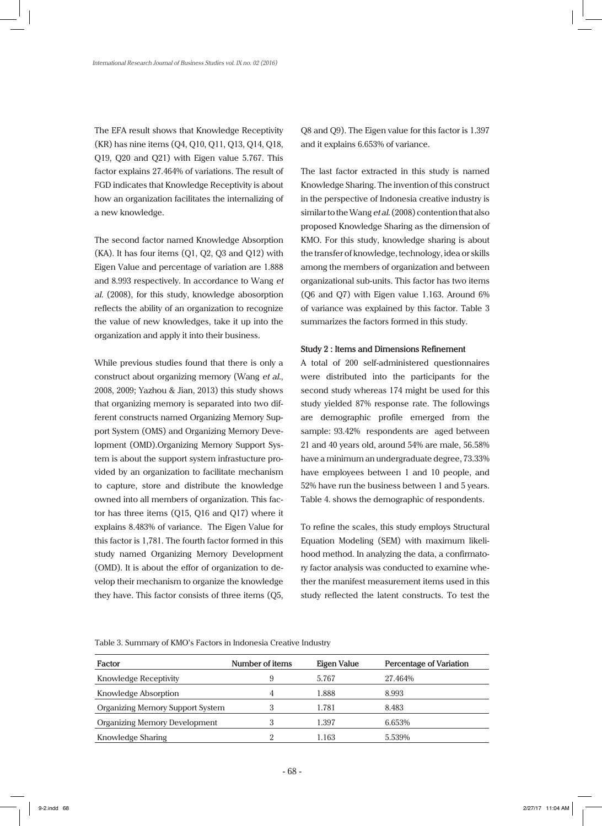The EFA result shows that Knowledge Receptivity (KR) has nine items (Q4, Q10, Q11, Q13, Q14, Q18, Q19, Q20 and Q21) with Eigen value 5.767. This factor explains 27.464% of variations. The result of FGD indicates that Knowledge Receptivity is about how an organization facilitates the internalizing of a new knowledge.

The second factor named Knowledge Absorption (KA). It has four items (Q1, Q2, Q3 and Q12) with Eigen Value and percentage of variation are 1.888 and 8.993 respectively. In accordance to Wang *et al*. (2008), for this study, knowledge abosorption reflects the ability of an organization to recognize the value of new knowledges, take it up into the organization and apply it into their business.

While previous studies found that there is only a construct about organizing memory (Wang *et al*., 2008, 2009; Yazhou & Jian, 2013) this study shows that organizing memory is separated into two different constructs named Organizing Memory Support System (OMS) and Organizing Memory Development (OMD).Organizing Memory Support System is about the support system infrastucture provided by an organization to facilitate mechanism to capture, store and distribute the knowledge owned into all members of organization. This factor has three items (Q15, Q16 and Q17) where it explains 8.483% of variance. The Eigen Value for this factor is 1,781. The fourth factor formed in this study named Organizing Memory Development (OMD). It is about the effor of organization to develop their mechanism to organize the knowledge they have. This factor consists of three items (Q5, Q8 and Q9). The Eigen value for this factor is 1.397 and it explains 6.653% of variance.

The last factor extracted in this study is named Knowledge Sharing. The invention of this construct in the perspective of Indonesia creative industry is similar to the Wang *et al*. (2008) contention that also proposed Knowledge Sharing as the dimension of KMO. For this study, knowledge sharing is about the transfer of knowledge, technology, idea or skills among the members of organization and between organizational sub-units. This factor has two items (Q6 and Q7) with Eigen value 1.163. Around 6% of variance was explained by this factor. Table 3 summarizes the factors formed in this study.

#### **Study 2 : Items and Dimensions Refinement**

A total of 200 self-administered questionnaires were distributed into the participants for the second study whereas 174 might be used for this study yielded 87% response rate. The followings are demographic profile emerged from the sample: 93.42% respondents are aged between 21 and 40 years old, around 54% are male, 56.58% have a minimum an undergraduate degree, 73.33% have employees between 1 and 10 people, and 52% have run the business between 1 and 5 years. Table 4. shows the demographic of respondents.

To refine the scales, this study employs Structural Equation Modeling (SEM) with maximum likelihood method. In analyzing the data, a confirmatory factor analysis was conducted to examine whether the manifest measurement items used in this study reflected the latent constructs. To test the

Table 3. Summary of KMO's Factors in Indonesia Creative Industry

| Factor                                  | Number of items | Eigen Value | Percentage of Variation |
|-----------------------------------------|-----------------|-------------|-------------------------|
| Knowledge Receptivity                   | 9               | 5.767       | 27.464%                 |
| Knowledge Absorption                    | 4               | 1.888       | 8.993                   |
| <b>Organizing Memory Support System</b> | 3               | 1.781       | 8.483                   |
| <b>Organizing Memory Development</b>    | З               | 1.397       | 6.653%                  |
| Knowledge Sharing                       |                 | 1.163       | 5.539%                  |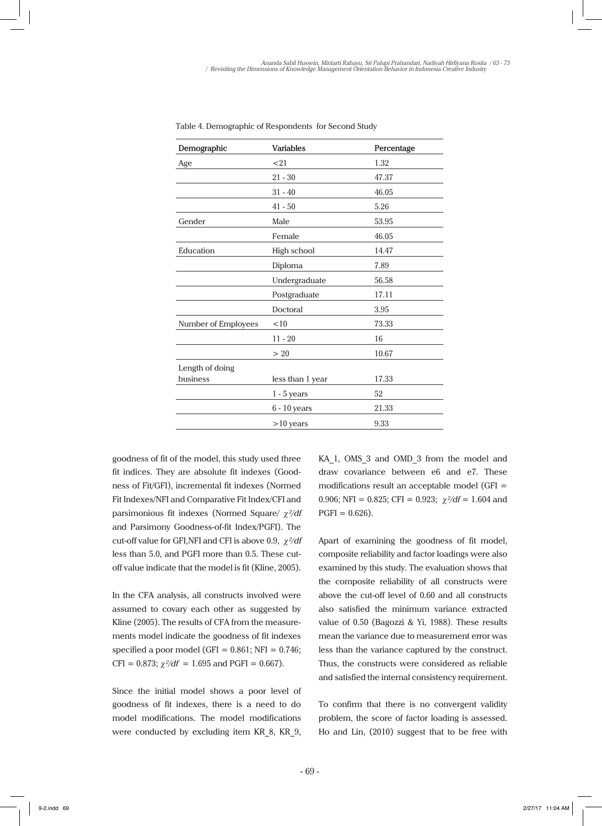| Demographic         | <b>Variables</b> | Percentage |
|---------------------|------------------|------------|
| Age                 | <21              | 1.32       |
|                     | $21 - 30$        | 47.37      |
|                     | $31 - 40$        | 46.05      |
|                     | $41 - 50$        | 5.26       |
| Gender              | Male             | 53.95      |
|                     | Female           | 46.05      |
| Education           | High school      | 14.47      |
|                     | Diploma          | 7.89       |
|                     | Undergraduate    | 56.58      |
|                     | Postgraduate     | 17.11      |
|                     | Doctoral         | 3.95       |
| Number of Employees | < 10             | 73.33      |
|                     | $11 - 20$        | 16         |
|                     | >20              | 10.67      |
| Length of doing     |                  |            |
| business            | less than 1 year | 17.33      |
|                     | $1 - 5$ years    | 52         |
|                     | 6 - 10 years     | 21.33      |
|                     | $>10$ years      | 9.33       |

Table 4. Demographic of Respondents for Second Study

goodness of fit of the model, this study used three fit indices. They are absolute fit indexes (Goodness of Fit/GFI), incremental fit indexes (Normed Fit Indexes/NFI and Comparative Fit Index/CFI and parsimonious fit indexes (Normed Square/ χ*²/df*  and Parsimony Goodness-of-fit Index/PGFI). The cut-off value for GFI,NFI and CFI is above 0.9, χ*²/df*  less than 5.0, and PGFI more than 0.5. These cutoff value indicate that the model is fit (Kline, 2005).

In the CFA analysis, all constructs involved were assumed to covary each other as suggested by Kline (2005). The results of CFA from the measurements model indicate the goodness of fit indexes specified a poor model (GFI =  $0.861$ ; NFI =  $0.746$ ; CFI = 0.873;  $\chi^2/df = 1.695$  and PGFI = 0.667).

Since the initial model shows a poor level of goodness of fit indexes, there is a need to do model modifications. The model modifications were conducted by excluding item KR\_8, KR\_9,

KA 1, OMS 3 and OMD 3 from the model and draw covariance between e6 and e7. These modifications result an acceptable model (GFI = 0.906; NFI = 0.825; CFI = 0.923;  $\chi^2/df = 1.604$  and  $PGFI = 0.626$ ).

Apart of examining the goodness of fit model, composite reliability and factor loadings were also examined by this study. The evaluation shows that the composite reliability of all constructs were above the cut-off level of 0.60 and all constructs also satisfied the minimum variance extracted value of 0.50 (Bagozzi & Yi, 1988). These results mean the variance due to measurement error was less than the variance captured by the construct. Thus, the constructs were considered as reliable and satisfied the internal consistency requirement.

To confirm that there is no convergent validity problem, the score of factor loading is assessed. Ho and Lin, (2010) suggest that to be free with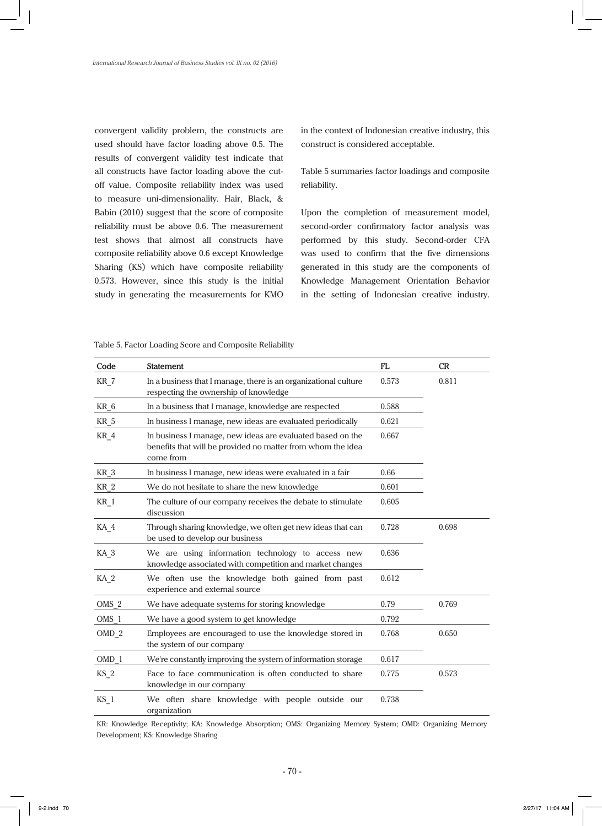convergent validity problem, the constructs are used should have factor loading above 0.5. The results of convergent validity test indicate that all constructs have factor loading above the cutoff value. Composite reliability index was used to measure uni-dimensionality. Hair, Black, & Babin (2010) suggest that the score of composite reliability must be above 0.6. The measurement test shows that almost all constructs have composite reliability above 0.6 except Knowledge Sharing (KS) which have composite reliability 0.573. However, since this study is the initial study in generating the measurements for KMO in the context of Indonesian creative industry, this construct is considered acceptable.

Table 5 summaries factor loadings and composite reliability.

Upon the completion of measurement model, second-order confirmatory factor analysis was performed by this study. Second-order CFA was used to confirm that the five dimensions generated in this study are the components of Knowledge Management Orientation Behavior in the setting of Indonesian creative industry.

| Table 5. Factor Loading Score and Composite Reliability |  |
|---------------------------------------------------------|--|
|---------------------------------------------------------|--|

| Code             | <b>Statement</b>                                                                                                                       | FL    | CR    |
|------------------|----------------------------------------------------------------------------------------------------------------------------------------|-------|-------|
| KR 7             | In a business that I manage, there is an organizational culture<br>respecting the ownership of knowledge                               | 0.573 | 0.811 |
| KR 6             | In a business that I manage, knowledge are respected                                                                                   | 0.588 |       |
| KR 5             | In business I manage, new ideas are evaluated periodically                                                                             | 0.621 |       |
| $KR_4$           | In business I manage, new ideas are evaluated based on the<br>benefits that will be provided no matter from whom the idea<br>come from | 0.667 |       |
| KR <sub>3</sub>  | In business I manage, new ideas were evaluated in a fair                                                                               | 0.66  |       |
| KR <sub>2</sub>  | We do not hesitate to share the new knowledge                                                                                          | 0.601 |       |
| $KR_1$           | The culture of our company receives the debate to stimulate<br>discussion                                                              | 0.605 |       |
| KA <sub>4</sub>  | Through sharing knowledge, we often get new ideas that can<br>be used to develop our business                                          | 0.728 | 0.698 |
| KA <sub>3</sub>  | We are using information technology to access new<br>knowledge associated with competition and market changes                          | 0.636 |       |
| KA <sub>2</sub>  | We often use the knowledge both gained from past<br>experience and external source                                                     | 0.612 |       |
| $OMS_2$          | We have adequate systems for storing knowledge                                                                                         | 0.79  | 0.769 |
| $OMS_1$          | We have a good system to get knowledge                                                                                                 | 0.792 |       |
| OMD <sub>2</sub> | Employees are encouraged to use the knowledge stored in<br>the system of our company                                                   | 0.768 | 0.650 |
| OMD 1            | We're constantly improving the system of information storage                                                                           | 0.617 |       |
| $KS_2$           | Face to face communication is often conducted to share<br>knowledge in our company                                                     | 0.775 | 0.573 |
| $KS_1$           | We often share knowledge with people outside our<br>organization                                                                       | 0.738 |       |

KR: Knowledge Receptivity; KA: Knowledge Absorption; OMS: Organizing Memory System; OMD: Organizing Memory Development; KS: Knowledge Sharing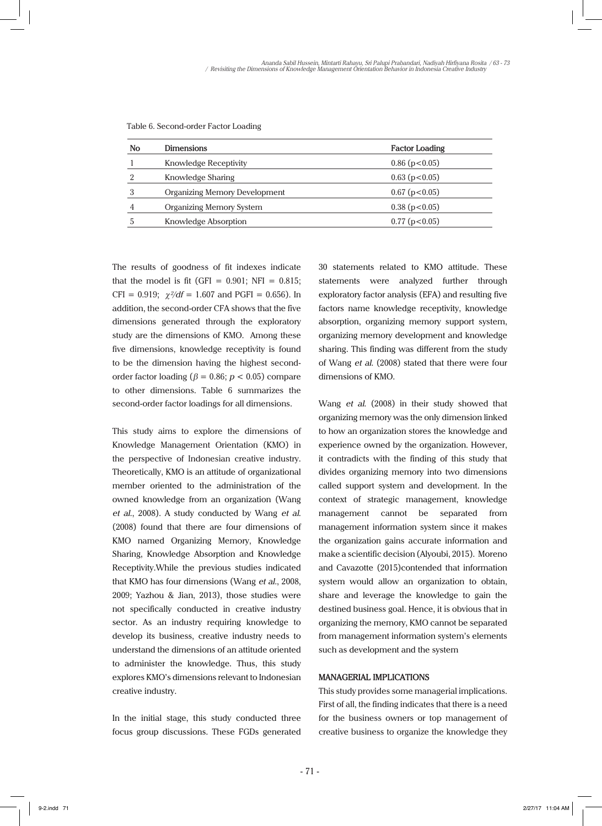| No | <b>Dimensions</b>                    | <b>Factor Loading</b> |
|----|--------------------------------------|-----------------------|
|    | Knowledge Receptivity                | $0.86$ ( $p<0.05$ )   |
| റ  | Knowledge Sharing                    | $0.63$ (p < 0.05)     |
|    | <b>Organizing Memory Development</b> | $0.67$ (p < 0.05)     |
| 4  | Organizing Memory System             | $0.38$ ( $p<0.05$ )   |
|    | Knowledge Absorption                 | $0.77$ ( $p < 0.05$ ) |

Table 6. Second-order Factor Loading

The results of goodness of fit indexes indicate that the model is fit (GFI =  $0.901$ ; NFI =  $0.815$ ; CFI =  $0.919$ :  $\gamma^2/df = 1.607$  and PGFI = 0.656). In addition, the second-order CFA shows that the five dimensions generated through the exploratory study are the dimensions of KMO. Among these five dimensions, knowledge receptivity is found to be the dimension having the highest secondorder factor loading ( $\beta = 0.86$ ;  $p < 0.05$ ) compare to other dimensions. Table 6 summarizes the second-order factor loadings for all dimensions.

This study aims to explore the dimensions of Knowledge Management Orientation (KMO) in the perspective of Indonesian creative industry. Theoretically, KMO is an attitude of organizational member oriented to the administration of the owned knowledge from an organization (Wang *et al*., 2008). A study conducted by Wang *et al*. (2008) found that there are four dimensions of KMO named Organizing Memory, Knowledge Sharing, Knowledge Absorption and Knowledge Receptivity.While the previous studies indicated that KMO has four dimensions (Wang *et al.*, 2008, 2009; Yazhou & Jian, 2013), those studies were not specifically conducted in creative industry sector. As an industry requiring knowledge to develop its business, creative industry needs to understand the dimensions of an attitude oriented to administer the knowledge. Thus, this study explores KMO's dimensions relevant to Indonesian creative industry.

In the initial stage, this study conducted three focus group discussions. These FGDs generated 30 statements related to KMO attitude. These statements were analyzed further through exploratory factor analysis (EFA) and resulting five factors name knowledge receptivity, knowledge absorption, organizing memory support system, organizing memory development and knowledge sharing. This finding was different from the study of Wang *et al*. (2008) stated that there were four dimensions of KMO.

Wang *et al*. (2008) in their study showed that organizing memory was the only dimension linked to how an organization stores the knowledge and experience owned by the organization. However, it contradicts with the finding of this study that divides organizing memory into two dimensions called support system and development. In the context of strategic management, knowledge management cannot be separated from management information system since it makes the organization gains accurate information and make a scientific decision (Alyoubi, 2015). Moreno and Cavazotte (2015)contended that information system would allow an organization to obtain, share and leverage the knowledge to gain the destined business goal. Hence, it is obvious that in organizing the memory, KMO cannot be separated from management information system's elements such as development and the system

# **MANAGERIAL IMPLICATIONS**

This study provides some managerial implications. First of all, the finding indicates that there is a need for the business owners or top management of creative business to organize the knowledge they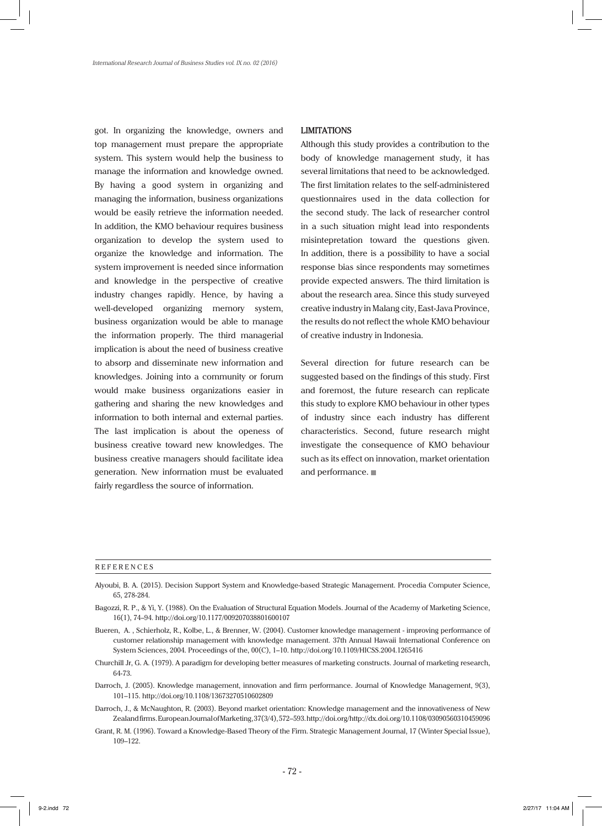got. In organizing the knowledge, owners and top management must prepare the appropriate system. This system would help the business to manage the information and knowledge owned. By having a good system in organizing and managing the information, business organizations would be easily retrieve the information needed. In addition, the KMO behaviour requires business organization to develop the system used to organize the knowledge and information. The system improvement is needed since information and knowledge in the perspective of creative industry changes rapidly. Hence, by having a well-developed organizing memory system, business organization would be able to manage the information properly. The third managerial implication is about the need of business creative to absorp and disseminate new information and knowledges. Joining into a community or forum would make business organizations easier in gathering and sharing the new knowledges and information to both internal and external parties. The last implication is about the openess of business creative toward new knowledges. The business creative managers should facilitate idea generation. New information must be evaluated fairly regardless the source of information.

#### **LIMITATIONS**

Although this study provides a contribution to the body of knowledge management study, it has several limitations that need to be acknowledged. The first limitation relates to the self-administered questionnaires used in the data collection for the second study. The lack of researcher control in a such situation might lead into respondents misintepretation toward the questions given. In addition, there is a possibility to have a social response bias since respondents may sometimes provide expected answers. The third limitation is about the research area. Since this study surveyed creative industry in Malang city, East-Java Province, the results do not reflect the whole KMO behaviour of creative industry in Indonesia.

Several direction for future research can be suggested based on the findings of this study. First and foremost, the future research can replicate this study to explore KMO behaviour in other types of industry since each industry has different characteristics. Second, future research might investigate the consequence of KMO behaviour such as its effect on innovation, market orientation and performance.

#### REFERENCES

- Alyoubi, B. A. (2015). Decision Support System and Knowledge-based Strategic Management. Procedia Computer Science, 65, 278-284.
- Bagozzi, R. P., & Yi, Y. (1988). On the Evaluation of Structural Equation Models. Journal of the Academy of Marketing Science, 16(1), 74–94. http://doi.org/10.1177/009207038801600107
- Bueren, A. , Schierholz, R., Kolbe, L., & Brenner, W. (2004). Customer knowledge management improving performance of customer relationship management with knowledge management. 37th Annual Hawaii International Conference on System Sciences, 2004. Proceedings of the, 00(C), 1–10. http://doi.org/10.1109/HICSS.2004.1265416
- Churchill Jr, G. A. (1979). A paradigm for developing better measures of marketing constructs. Journal of marketing research, 64-73.
- Darroch, J. (2005). Knowledge management, innovation and firm performance. Journal of Knowledge Management, 9(3), 101–115. http://doi.org/10.1108/13673270510602809
- Darroch, J., & McNaughton, R. (2003). Beyond market orientation: Knowledge management and the innovativeness of New Zealand firms. European Journal of Marketing, 37(3/4), 572–593. http://doi.org/http://dx.doi.org/10.1108/03090560310459096
- Grant, R. M. (1996). Toward a Knowledge-Based Theory of the Firm. Strategic Management Journal, 17 (Winter Special Issue), 109–122.